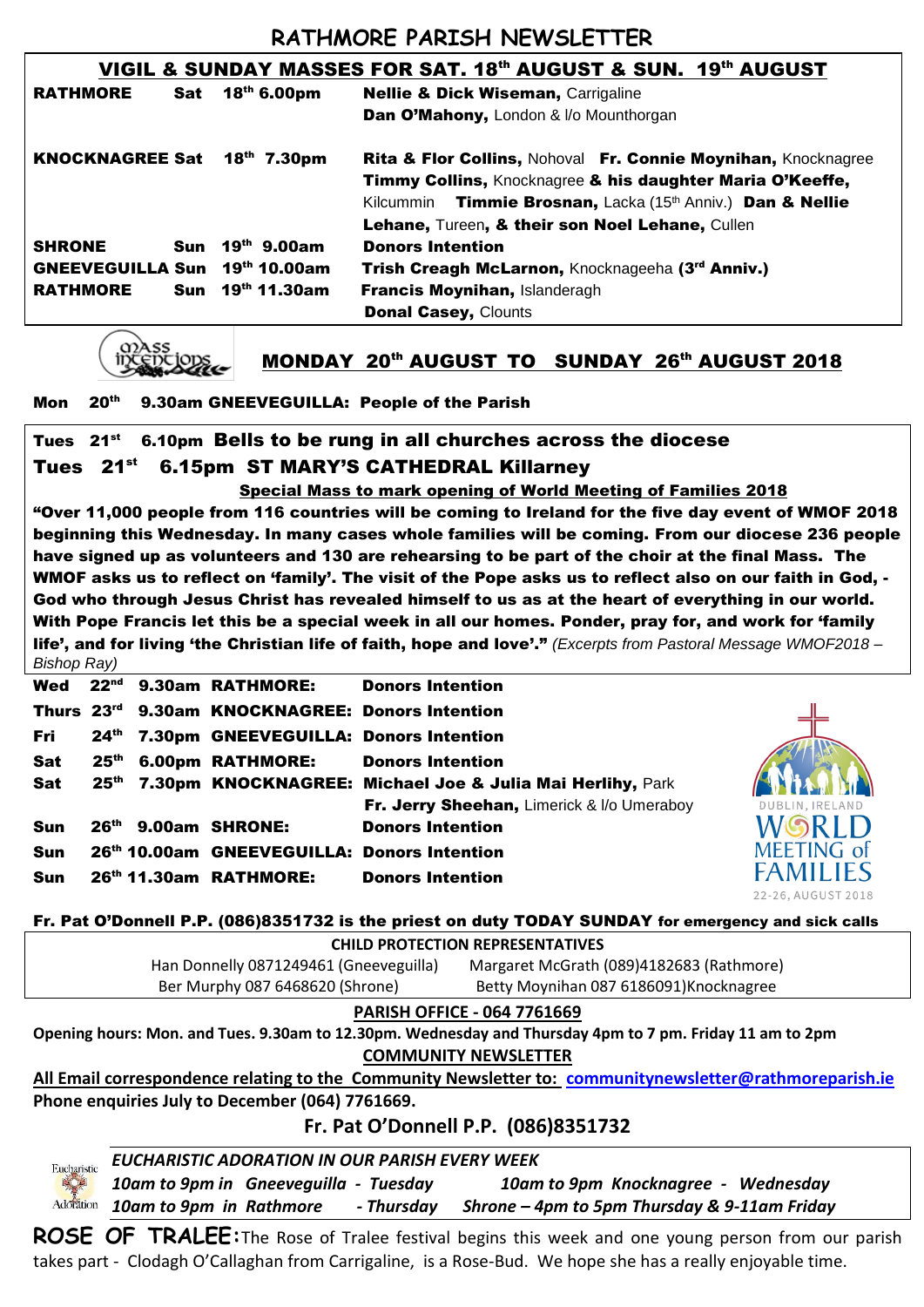# **RATHMORE PARISH NEWSLETTER**

| VIGIL & SUNDAY MASSES FOR SAT. 18th AUGUST & SUN. 19th AUGUST |                  |                                                                                                                                                                                                                 |  |  |  |
|---------------------------------------------------------------|------------------|-----------------------------------------------------------------------------------------------------------------------------------------------------------------------------------------------------------------|--|--|--|
| <b>RATHMORE</b>                                               | Sat 18th 6.00pm  | <b>Nellie &amp; Dick Wiseman, Carrigaline</b>                                                                                                                                                                   |  |  |  |
|                                                               |                  | Dan O'Mahony, London & I/o Mounthorgan                                                                                                                                                                          |  |  |  |
| <b>KNOCKNAGREE Sat</b>                                        | $18^{th}$ 7.30pm | <b>Rita &amp; Flor Collins, Nohoval Fr. Connie Moynihan, Knocknagree</b><br>Timmy Collins, Knocknagree & his daughter Maria O'Keeffe,<br>Kilcummin Timmie Brosnan, Lacka (15 <sup>th</sup> Anniv.) Dan & Nellie |  |  |  |
|                                                               |                  | Lehane, Tureen, & their son Noel Lehane, Cullen                                                                                                                                                                 |  |  |  |
| <b>SHRONE</b><br>Sun                                          | $19^{th}$ 9.00am | <b>Donors Intention</b>                                                                                                                                                                                         |  |  |  |
| GNEEVEGUILLA Sun 19th 10.00am                                 |                  | Trish Creagh McLarnon, Knocknageeha (3rd Anniv.)                                                                                                                                                                |  |  |  |
| <b>RATHMORE</b>                                               | Sun 19th 11.30am | Francis Moynihan, Islanderagh                                                                                                                                                                                   |  |  |  |
|                                                               |                  | <b>Donal Casey, Clounts</b>                                                                                                                                                                                     |  |  |  |



### MONDAY 20th AUGUST TO SUNDAY 26th AUGUST 2018

#### Mon 20<sup>th</sup> 9.30am GNEEVEGUILLA: People of the Parish

### Tues 21<sup>st</sup> 6.10pm Bells to be rung in all churches across the diocese Tues 21<sup>st</sup> 6.15pm ST MARY'S CATHEDRAL Killarney

 Special Mass to mark opening of World Meeting of Families 2018 "Over 11,000 people from 116 countries will be coming to Ireland for the five day event of WMOF 2018 beginning this Wednesday. In many cases whole families will be coming. From our diocese 236 people have signed up as volunteers and 130 are rehearsing to be part of the choir at the final Mass. The WMOF asks us to reflect on 'family'. The visit of the Pope asks us to reflect also on our faith in God, - God who through Jesus Christ has revealed himself to us as at the heart of everything in our world. With Pope Francis let this be a special week in all our homes. Ponder, pray for, and work for 'family life', and for living 'the Christian life of faith, hope and love'." *(Excerpts from Pastoral Message WMOF2018 – Bishop Ray)*

|            |  | Wed 22 <sup>nd</sup> 9.30am RATHMORE:              | <b>Donors Intention</b>                                        |
|------------|--|----------------------------------------------------|----------------------------------------------------------------|
|            |  | Thurs 23rd 9.30am KNOCKNAGREE: Donors Intention    |                                                                |
| Fri        |  | 24th 7.30pm GNEEVEGUILLA: Donors Intention         |                                                                |
| Sat        |  | 25 <sup>th</sup> 6.00pm RATHMORE: Donors Intention |                                                                |
| Sat        |  |                                                    | 25th 7.30pm KNOCKNAGREE: Michael Joe & Julia Mai Herlihy, Park |
|            |  |                                                    | Fr. Jerry Sheehan, Limerick & I/o Umeraboy                     |
| <b>Sun</b> |  | 26th 9.00am SHRONE:                                | <b>Donors Intention</b>                                        |
| <b>Sun</b> |  | 26th 10.00am GNEEVEGUILLA: Donors Intention        |                                                                |
| <b>Sun</b> |  | $26th$ 11.30am RATHMORE:                           | <b>Donors Intention</b>                                        |



| Fr. Pat O'Donnell P.P. (086)8351732 is the priest on duty TODAY SUNDAY for emergency and sick calls      |                                          |  |  |  |  |
|----------------------------------------------------------------------------------------------------------|------------------------------------------|--|--|--|--|
| <b>CHILD PROTECTION REPRESENTATIVES</b>                                                                  |                                          |  |  |  |  |
| Han Donnelly 0871249461 (Gneeveguilla)                                                                   | Margaret McGrath (089)4182683 (Rathmore) |  |  |  |  |
| Ber Murphy 087 6468620 (Shrone)                                                                          | Betty Moynihan 087 6186091)Knocknagree   |  |  |  |  |
| <b>PARISH OFFICE - 064 7761669</b>                                                                       |                                          |  |  |  |  |
| Opening hours: Mon. and Tues. 9.30am to 12.30pm. Wednesday and Thursday 4pm to 7 pm. Friday 11 am to 2pm |                                          |  |  |  |  |
| <b>COMMUNITY NEWSLETTER</b>                                                                              |                                          |  |  |  |  |
| All Email correspondence relating to the Community Newsletter to: communitynewsletter@rathmoreparish.ie  |                                          |  |  |  |  |
| Phone enquiries July to December (064) 7761669.                                                          |                                          |  |  |  |  |
|                                                                                                          | Fr. Pat O'Donnell P.P. (086)8351732      |  |  |  |  |
| EUCHARISTIC ADORATION IN OUR PARISH EVERY WEEK<br>Eucharistic                                            |                                          |  |  |  |  |

*10am to 9pm in Gneeveguilla - Tuesday 10am to 9pm Knocknagree - Wednesday 10am to 9pm in Rathmore - Thursday Shrone – 4pm to 5pm Thursday & 9-11am Friday*

**ROSE OF TRALEE:**The Rose of Tralee festival begins this week and one young person from our parish takes part - Clodagh O'Callaghan from Carrigaline, is a Rose-Bud. We hope she has a really enjoyable time.